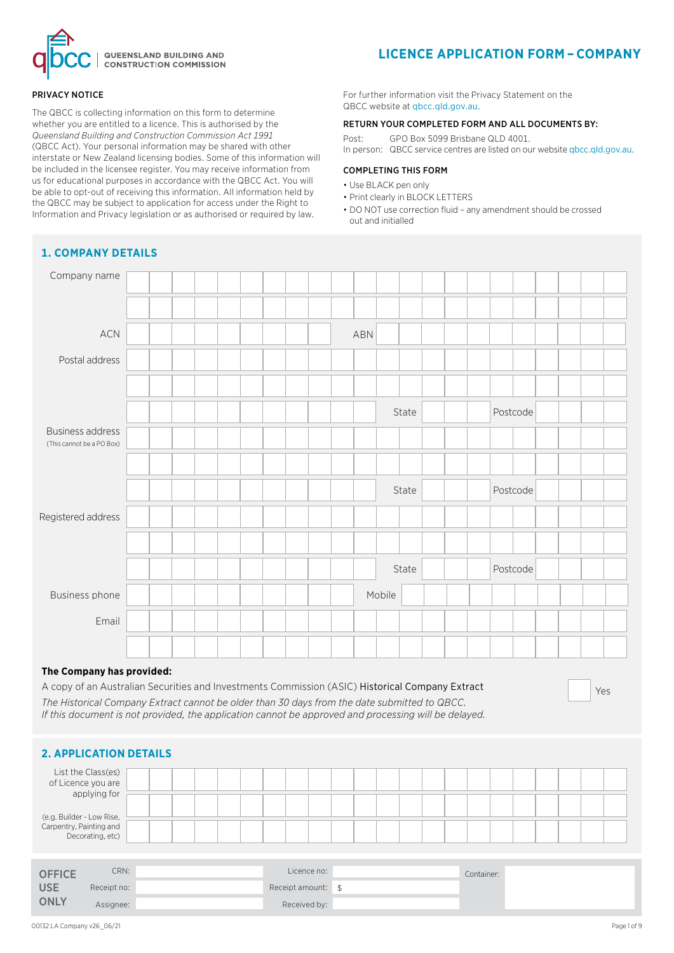

#### PRIVACY NOTICE

The QBCC is collecting information on this form to determine whether you are entitled to a licence. This is authorised by the *Queensland Building and Construction Commission Act 1991* (QBCC Act). Your personal information may be shared with other interstate or New Zealand licensing bodies. Some of this information will be included in the licensee register. You may receive information from us for educational purposes in accordance with the QBCC Act. You will be able to opt-out of receiving this information. All information held by the QBCC may be subject to application for access under the Right to Information and Privacy legislation or as authorised or required by law.

# **LICENCE APPLICATION FORM – COMPANY**

For further information visit the Privacy Statement on the QBCC website at qbcc.qld.gov.au.

#### RETURN YOUR COMPLETED FORM AND ALL DOCUMENTS BY:

Post: GPO Box 5099 Brisbane QLD 4001.

In person: QBCC service centres are listed on our website qbcc.qld.gov.au.

## COMPLETING THIS FORM

- Use BLACK pen only
- Print clearly in BLOCK LETTERS
- DO NOT use correction fluid any amendment should be crossed out and initialled

| Company name                                         |  |  |     |        |          |  |
|------------------------------------------------------|--|--|-----|--------|----------|--|
|                                                      |  |  |     |        |          |  |
| $\sf{ACN}$                                           |  |  | ABN |        |          |  |
| Postal address                                       |  |  |     |        |          |  |
|                                                      |  |  |     |        |          |  |
|                                                      |  |  |     | State  | Postcode |  |
| <b>Business address</b><br>(This cannot be a PO Box) |  |  |     |        |          |  |
|                                                      |  |  |     |        |          |  |
|                                                      |  |  |     | State  | Postcode |  |
| Registered address                                   |  |  |     |        |          |  |
|                                                      |  |  |     |        |          |  |
|                                                      |  |  |     | State  | Postcode |  |
| Business phone                                       |  |  |     | Mobile |          |  |
| Email                                                |  |  |     |        |          |  |
|                                                      |  |  |     |        |          |  |

## **The Company has provided:**

A copy of an Australian Securities and Investments Commission (ASIC) Historical Company Extract *The Historical Company Extract cannot be older than 30 days from the date submitted to QBCC. If this document is not provided, the application cannot be approved and processing will be delayed.*

#### Yes

## **2. APPLICATION DETAILS**

| List the Class(es)<br>of Licence you are<br>applying for                 |  |  |  |  |  |  |  |  |  |  |
|--------------------------------------------------------------------------|--|--|--|--|--|--|--|--|--|--|
|                                                                          |  |  |  |  |  |  |  |  |  |  |
| (e.g. Builder - Low Rise,<br>Carpentry, Painting and<br>Decorating, etc) |  |  |  |  |  |  |  |  |  |  |
|                                                                          |  |  |  |  |  |  |  |  |  |  |
|                                                                          |  |  |  |  |  |  |  |  |  |  |

| <b>OFFICE</b> | CRN:        | Licence no:        | Container: |  |
|---------------|-------------|--------------------|------------|--|
| <b>USE</b>    | Receipt no: | Receipt amount: \$ |            |  |
| ONLY          | Assignee:   | Received by:       |            |  |

# **1. COMPANY DETAILS**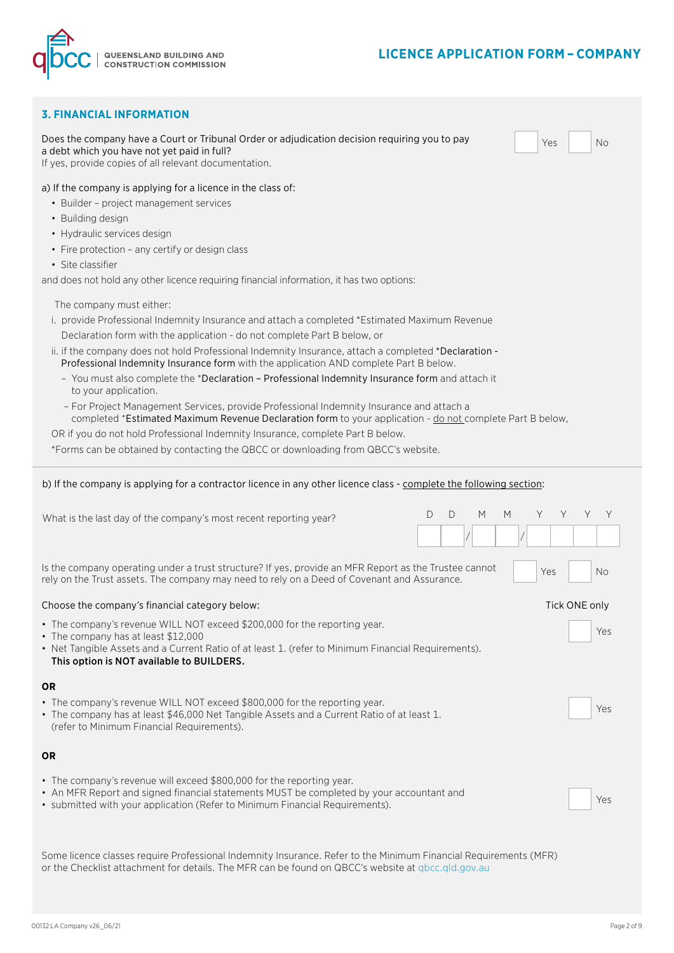# **LICENCE APPLICATION FORM – COMPANY**



| <b>3. FINANCIAL INFORMATION</b>                                                                                                                                                                                                                                                                                                                                                                                                                                                                                                                                                                                                                                                                                                                                                                                                                                                                                   |                                      |
|-------------------------------------------------------------------------------------------------------------------------------------------------------------------------------------------------------------------------------------------------------------------------------------------------------------------------------------------------------------------------------------------------------------------------------------------------------------------------------------------------------------------------------------------------------------------------------------------------------------------------------------------------------------------------------------------------------------------------------------------------------------------------------------------------------------------------------------------------------------------------------------------------------------------|--------------------------------------|
| Does the company have a Court or Tribunal Order or adjudication decision requiring you to pay<br>a debt which you have not yet paid in full?<br>If yes, provide copies of all relevant documentation.                                                                                                                                                                                                                                                                                                                                                                                                                                                                                                                                                                                                                                                                                                             | Yes<br><b>No</b>                     |
| a) If the company is applying for a licence in the class of:<br>• Builder - project management services<br>• Building design<br>• Hydraulic services design<br>• Fire protection - any certify or design class<br>• Site classifier<br>and does not hold any other licence requiring financial information, it has two options:                                                                                                                                                                                                                                                                                                                                                                                                                                                                                                                                                                                   |                                      |
| The company must either:<br>i. provide Professional Indemnity Insurance and attach a completed *Estimated Maximum Revenue<br>Declaration form with the application - do not complete Part B below, or<br>ii. if the company does not hold Professional Indemnity Insurance, attach a completed *Declaration -<br>Professional Indemnity Insurance form with the application AND complete Part B below.<br>- You must also complete the *Declaration - Professional Indemnity Insurance form and attach it<br>to your application.<br>- For Project Management Services, provide Professional Indemnity Insurance and attach a<br>completed *Estimated Maximum Revenue Declaration form to your application - do not complete Part B below,<br>OR if you do not hold Professional Indemnity Insurance, complete Part B below.<br>*Forms can be obtained by contacting the QBCC or downloading from QBCC's website. |                                      |
| b) If the company is applying for a contractor licence in any other licence class - complete the following section:                                                                                                                                                                                                                                                                                                                                                                                                                                                                                                                                                                                                                                                                                                                                                                                               |                                      |
| What is the last day of the company's most recent reporting year?                                                                                                                                                                                                                                                                                                                                                                                                                                                                                                                                                                                                                                                                                                                                                                                                                                                 | M<br>M<br>D<br>D<br>Y<br>Y<br>Y<br>Υ |
| Is the company operating under a trust structure? If yes, provide an MFR Report as the Trustee cannot<br>rely on the Trust assets. The company may need to rely on a Deed of Covenant and Assurance.                                                                                                                                                                                                                                                                                                                                                                                                                                                                                                                                                                                                                                                                                                              | Yes<br><b>No</b>                     |
| Choose the company's financial category below:                                                                                                                                                                                                                                                                                                                                                                                                                                                                                                                                                                                                                                                                                                                                                                                                                                                                    | Tick ONE only                        |
| • The company's revenue WILL NOT exceed \$200,000 for the reporting year.<br>• The company has at least \$12,000<br>• Net Tangible Assets and a Current Ratio of at least 1. (refer to Minimum Financial Requirements).<br>This option is NOT available to BUILDERS.                                                                                                                                                                                                                                                                                                                                                                                                                                                                                                                                                                                                                                              | Yes                                  |
| <b>OR</b><br>• The company's revenue WILL NOT exceed \$800,000 for the reporting year.<br>• The company has at least \$46,000 Net Tangible Assets and a Current Ratio of at least 1.                                                                                                                                                                                                                                                                                                                                                                                                                                                                                                                                                                                                                                                                                                                              |                                      |
| (refer to Minimum Financial Requirements).                                                                                                                                                                                                                                                                                                                                                                                                                                                                                                                                                                                                                                                                                                                                                                                                                                                                        | Yes                                  |
| <b>OR</b>                                                                                                                                                                                                                                                                                                                                                                                                                                                                                                                                                                                                                                                                                                                                                                                                                                                                                                         |                                      |
| • The company's revenue will exceed \$800,000 for the reporting year.<br>• An MFR Report and signed financial statements MUST be completed by your accountant and<br>• submitted with your application (Refer to Minimum Financial Requirements).                                                                                                                                                                                                                                                                                                                                                                                                                                                                                                                                                                                                                                                                 | Yes                                  |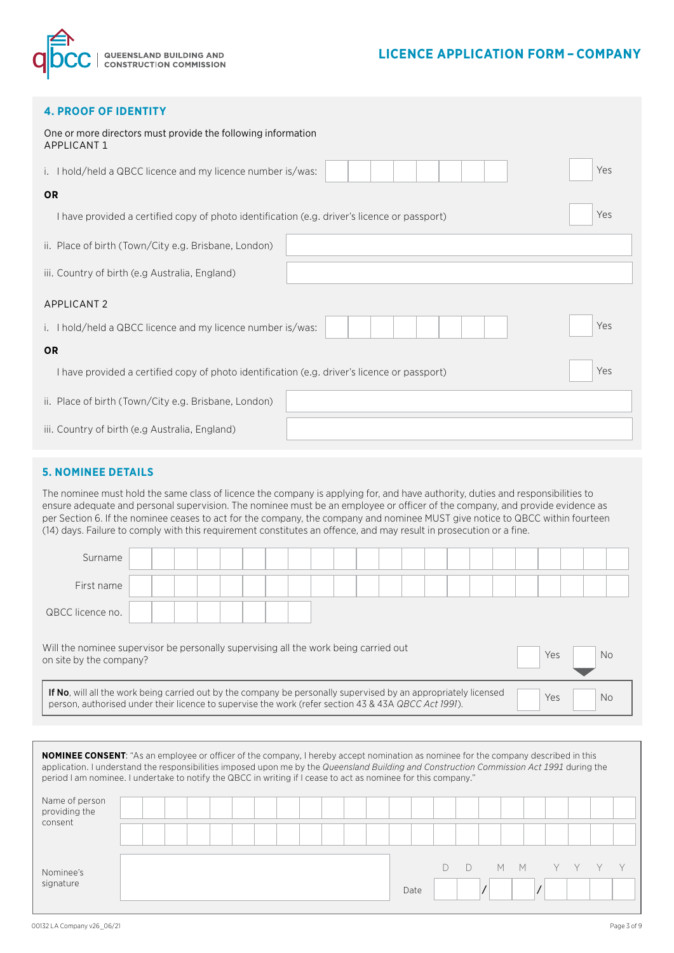

## **LICENCE APPLICATION FORM – COMPANY**

|  |  |  | <b>4. PROOF OF IDENTITY</b> |  |
|--|--|--|-----------------------------|--|
|  |  |  |                             |  |

| One or more directors must provide the following information<br><b>APPLICANT 1</b>           |     |
|----------------------------------------------------------------------------------------------|-----|
| i. I hold/held a QBCC licence and my licence number is/was:                                  | Yes |
| <b>OR</b>                                                                                    |     |
| I have provided a certified copy of photo identification (e.g. driver's licence or passport) | Yes |
| ii. Place of birth (Town/City e.g. Brisbane, London)                                         |     |
| iii. Country of birth (e.g Australia, England)                                               |     |
| <b>APPLICANT 2</b>                                                                           |     |
| i. I hold/held a QBCC licence and my licence number is/was:                                  | Yes |
| <b>OR</b>                                                                                    |     |
| I have provided a certified copy of photo identification (e.g. driver's licence or passport) | Yes |
| ii. Place of birth (Town/City e.g. Brisbane, London)                                         |     |
| iii. Country of birth (e.g Australia, England)                                               |     |

## **5. NOMINEE DETAILS**

The nominee must hold the same class of licence the company is applying for, and have authority, duties and responsibilities to ensure adequate and personal supervision. The nominee must be an employee or officer of the company, and provide evidence as per Section 6. If the nominee ceases to act for the company, the company and nominee MUST give notice to QBCC within fourteen (14) days. Failure to comply with this requirement constitutes an offence, and may result in prosecution or a fine.

| Surname                                                                                                                                                                                                                 |  |  |  |  |  |  |  |  |  |     |     |  |
|-------------------------------------------------------------------------------------------------------------------------------------------------------------------------------------------------------------------------|--|--|--|--|--|--|--|--|--|-----|-----|--|
| First name                                                                                                                                                                                                              |  |  |  |  |  |  |  |  |  |     |     |  |
| QBCC licence no.                                                                                                                                                                                                        |  |  |  |  |  |  |  |  |  |     |     |  |
| Will the nominee supervisor be personally supervising all the work being carried out<br>on site by the company?                                                                                                         |  |  |  |  |  |  |  |  |  | Yes | No. |  |
| If No, will all the work being carried out by the company be personally supervised by an appropriately licensed<br>person, authorised under their licence to supervise the work (refer section 43 & 43A QBCC Act 1991). |  |  |  |  |  |  |  |  |  | Yes | Nο  |  |

| <b>NOMINEE CONSENT:</b> "As an employee or officer of the company, I hereby accept nomination as nominee for the company described in this<br>application. I understand the responsibilities imposed upon me by the Queensland Building and Construction Commission Act 1991 during the<br>period I am nominee. I undertake to notify the QBCC in writing if I cease to act as nominee for this company." |  |  |  |  |  |  |      |  |  |   |   |  |  |  |
|-----------------------------------------------------------------------------------------------------------------------------------------------------------------------------------------------------------------------------------------------------------------------------------------------------------------------------------------------------------------------------------------------------------|--|--|--|--|--|--|------|--|--|---|---|--|--|--|
| Name of person<br>providing the<br>consent                                                                                                                                                                                                                                                                                                                                                                |  |  |  |  |  |  |      |  |  |   |   |  |  |  |
| Nominee's<br>signature                                                                                                                                                                                                                                                                                                                                                                                    |  |  |  |  |  |  | Date |  |  | М | M |  |  |  |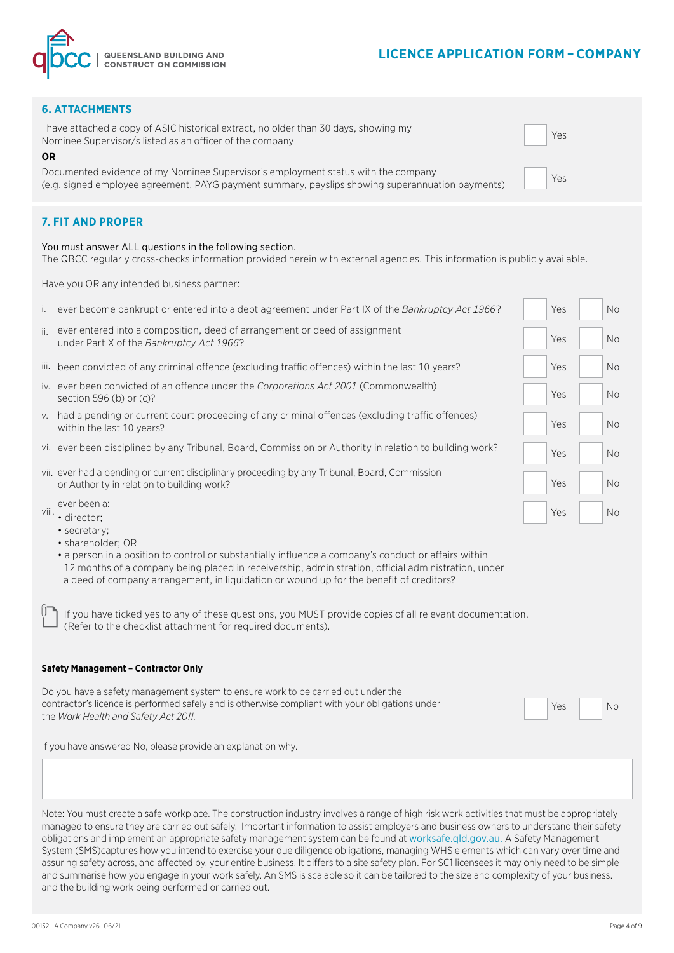

Yes

Yes

### **6. ATTACHMENTS**

I have attached a copy of ASIC historical extract, no older than 30 days, showing my Nominee Supervisor/s listed as an officer of the company

**OR**

Documented evidence of my Nominee Supervisor's employment status with the company (e.g. signed employee agreement, PAYG payment summary, payslips showing superannuation payments)

## **7. FIT AND PROPER**

#### You must answer ALL questions in the following section.

The QBCC regularly cross-checks information provided herein with external agencies. This information is publicly available.

Have you OR any intended business partner:

| ever become bankrupt or entered into a debt agreement under Part IX of the Bankruptcy Act 1966?                                                                          | Yes                                                                                                                                                                                                                                                                                                                                                                                                                                                                                                                                                                                                                                 | <b>No</b> |
|--------------------------------------------------------------------------------------------------------------------------------------------------------------------------|-------------------------------------------------------------------------------------------------------------------------------------------------------------------------------------------------------------------------------------------------------------------------------------------------------------------------------------------------------------------------------------------------------------------------------------------------------------------------------------------------------------------------------------------------------------------------------------------------------------------------------------|-----------|
| ever entered into a composition, deed of arrangement or deed of assignment<br>under Part X of the Bankruptcy Act 1966?                                                   | Yes                                                                                                                                                                                                                                                                                                                                                                                                                                                                                                                                                                                                                                 | <b>No</b> |
|                                                                                                                                                                          | Yes                                                                                                                                                                                                                                                                                                                                                                                                                                                                                                                                                                                                                                 | <b>No</b> |
| section 596 (b) or $(c)$ ?                                                                                                                                               | Yes                                                                                                                                                                                                                                                                                                                                                                                                                                                                                                                                                                                                                                 | <b>No</b> |
| within the last 10 years?                                                                                                                                                | Yes                                                                                                                                                                                                                                                                                                                                                                                                                                                                                                                                                                                                                                 | No.       |
|                                                                                                                                                                          | Yes                                                                                                                                                                                                                                                                                                                                                                                                                                                                                                                                                                                                                                 | <b>No</b> |
| or Authority in relation to building work?                                                                                                                               | Yes                                                                                                                                                                                                                                                                                                                                                                                                                                                                                                                                                                                                                                 | <b>No</b> |
| ever been a:<br>· director:<br>• secretary;<br>• shareholder; OR<br>• a person in a position to control or substantially influence a company's conduct or affairs within | Yes                                                                                                                                                                                                                                                                                                                                                                                                                                                                                                                                                                                                                                 | <b>No</b> |
|                                                                                                                                                                          | ii.<br>iii. been convicted of any criminal offence (excluding traffic offences) within the last 10 years?<br>iv. ever been convicted of an offence under the Corporations Act 2001 (Commonwealth)<br>v. had a pending or current court proceeding of any criminal offences (excluding traffic offences)<br>vi. ever been disciplined by any Tribunal, Board, Commission or Authority in relation to building work?<br>vii. ever had a pending or current disciplinary proceeding by any Tribunal, Board, Commission<br>viii.<br>12 months of a company being placed in receivership, administration, official administration, under |           |

If you have ticked yes to any of these questions, you MUST provide copies of all relevant documentation. (Refer to the checklist attachment for required documents).

a deed of company arrangement, in liquidation or wound up for the benefit of creditors?

#### **Safety Management – Contractor Only**

Do you have a safety management system to ensure work to be carried out under the contractor's licence is performed safely and is otherwise compliant with your obligations under **the contract of the contract of the contract of the contract of the contract of the contract of the** *Work Health and Safety A* 

If you have answered No, please provide an explanation why.

Note: You must create a safe workplace. The construction industry involves a range of high risk work activities that must be appropriately managed to ensure they are carried out safely. Important information to assist employers and business owners to understand their safety obligations and implement an appropriate safety management system can be found at worksafe.qld.gov.au. A Safety Management System (SMS)captures how you intend to exercise your due diligence obligations, managing WHS elements which can vary over time and assuring safety across, and affected by, your entire business. It differs to a site safety plan. For SC1 licensees it may only need to be simple and summarise how you engage in your work safely. An SMS is scalable so it can be tailored to the size and complexity of your business. and the building work being performed or carried out.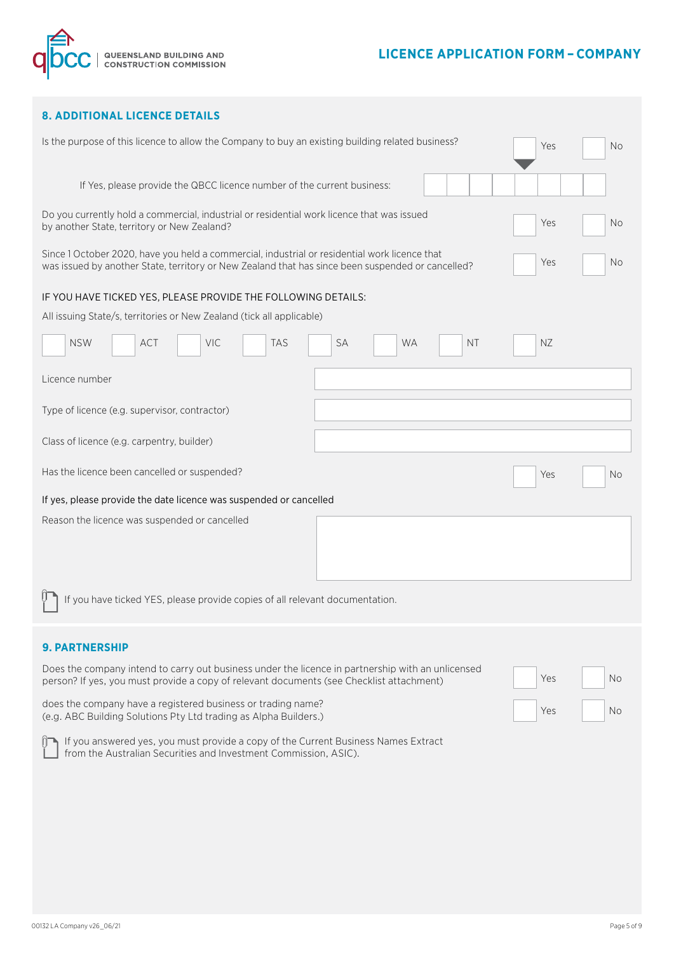



## **8. ADDITIONAL LICENCE DETAILS**

|                                                                                                                                                                                                    | Is the purpose of this licence to allow the Company to buy an existing building related business? |           |  |           | Yes | No.       |
|----------------------------------------------------------------------------------------------------------------------------------------------------------------------------------------------------|---------------------------------------------------------------------------------------------------|-----------|--|-----------|-----|-----------|
| If Yes, please provide the QBCC licence number of the current business:                                                                                                                            |                                                                                                   |           |  |           |     |           |
| Do you currently hold a commercial, industrial or residential work licence that was issued<br>by another State, territory or New Zealand?                                                          |                                                                                                   |           |  |           | Yes | <b>No</b> |
| Since 1 October 2020, have you held a commercial, industrial or residential work licence that<br>was issued by another State, territory or New Zealand that has since been suspended or cancelled? |                                                                                                   |           |  |           | Yes | No        |
| IF YOU HAVE TICKED YES, PLEASE PROVIDE THE FOLLOWING DETAILS:                                                                                                                                      |                                                                                                   |           |  |           |     |           |
| All issuing State/s, territories or New Zealand (tick all applicable)                                                                                                                              |                                                                                                   |           |  |           |     |           |
|                                                                                                                                                                                                    |                                                                                                   |           |  |           |     |           |
| <b>NSW</b><br><b>VIC</b><br><b>ACT</b><br><b>TAS</b>                                                                                                                                               | <b>SA</b>                                                                                         | <b>WA</b> |  | <b>NT</b> | NZ. |           |
| Licence number                                                                                                                                                                                     |                                                                                                   |           |  |           |     |           |
| Type of licence (e.g. supervisor, contractor)                                                                                                                                                      |                                                                                                   |           |  |           |     |           |
| Class of licence (e.g. carpentry, builder)                                                                                                                                                         |                                                                                                   |           |  |           |     |           |
| Has the licence been cancelled or suspended?                                                                                                                                                       |                                                                                                   |           |  |           | Yes | No.       |
| If yes, please provide the date licence was suspended or cancelled                                                                                                                                 |                                                                                                   |           |  |           |     |           |
|                                                                                                                                                                                                    |                                                                                                   |           |  |           |     |           |
| Reason the licence was suspended or cancelled                                                                                                                                                      |                                                                                                   |           |  |           |     |           |
|                                                                                                                                                                                                    |                                                                                                   |           |  |           |     |           |
|                                                                                                                                                                                                    |                                                                                                   |           |  |           |     |           |
| If you have ticked YES, please provide copies of all relevant documentation.                                                                                                                       |                                                                                                   |           |  |           |     |           |
|                                                                                                                                                                                                    |                                                                                                   |           |  |           |     |           |
| <b>9. PARTNERSHIP</b>                                                                                                                                                                              |                                                                                                   |           |  |           |     |           |
| Does the company intend to carry out business under the licence in partnership with an unlicensed<br>person? If yes, you must provide a copy of relevant documents (see Checklist attachment)      |                                                                                                   |           |  |           | Yes | <b>No</b> |
| does the company have a registered business or trading name?<br>(e.g. ABC Building Solutions Pty Ltd trading as Alpha Builders.)                                                                   |                                                                                                   |           |  |           | Yes | Νo        |
| If you answered yes, you must provide a copy of the Current Business Names Extract<br>from the Australian Securities and Investment Commission, ASIC).                                             |                                                                                                   |           |  |           |     |           |
|                                                                                                                                                                                                    |                                                                                                   |           |  |           |     |           |
|                                                                                                                                                                                                    |                                                                                                   |           |  |           |     |           |
|                                                                                                                                                                                                    |                                                                                                   |           |  |           |     |           |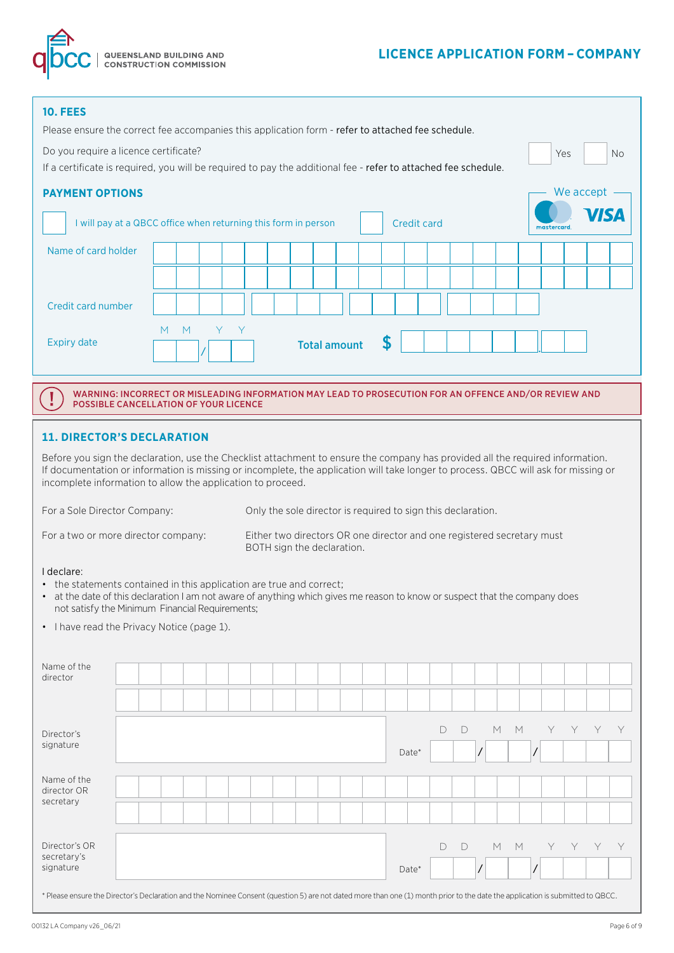# **LICENCE APPLICATION FORM – COMPANY**



| <b>10. FEES</b><br>Please ensure the correct fee accompanies this application form - refer to attached fee schedule.                                                                                                                                                                                                                 |                                                                                                                                                       |        |   |   |  |                                                              |                     |                           |                    |        |   |   |   |                                                                        |     |           |           |
|--------------------------------------------------------------------------------------------------------------------------------------------------------------------------------------------------------------------------------------------------------------------------------------------------------------------------------------|-------------------------------------------------------------------------------------------------------------------------------------------------------|--------|---|---|--|--------------------------------------------------------------|---------------------|---------------------------|--------------------|--------|---|---|---|------------------------------------------------------------------------|-----|-----------|-----------|
| Do you require a licence certificate?<br>If a certificate is required, you will be required to pay the additional fee - refer to attached fee schedule.                                                                                                                                                                              |                                                                                                                                                       |        |   |   |  |                                                              |                     |                           |                    |        |   |   |   |                                                                        | Yes |           | <b>No</b> |
| <b>PAYMENT OPTIONS</b>                                                                                                                                                                                                                                                                                                               |                                                                                                                                                       |        |   |   |  |                                                              |                     |                           |                    |        |   |   |   |                                                                        |     | We accept |           |
|                                                                                                                                                                                                                                                                                                                                      | I will pay at a QBCC office when returning this form in person                                                                                        |        |   |   |  |                                                              |                     |                           | <b>Credit card</b> |        |   |   |   | mastercard.                                                            |     |           |           |
| Name of card holder                                                                                                                                                                                                                                                                                                                  |                                                                                                                                                       |        |   |   |  |                                                              |                     |                           |                    |        |   |   |   |                                                                        |     |           |           |
| Credit card number                                                                                                                                                                                                                                                                                                                   |                                                                                                                                                       |        |   |   |  |                                                              |                     |                           |                    |        |   |   |   |                                                                        |     |           |           |
| <b>Expiry date</b>                                                                                                                                                                                                                                                                                                                   |                                                                                                                                                       | M<br>M | Y | Y |  |                                                              | <b>Total amount</b> | $\boldsymbol{\mathsf{S}}$ |                    |        |   |   |   |                                                                        |     |           |           |
|                                                                                                                                                                                                                                                                                                                                      | WARNING: INCORRECT OR MISLEADING INFORMATION MAY LEAD TO PROSECUTION FOR AN OFFENCE AND/OR REVIEW AND<br><b>POSSIBLE CANCELLATION OF YOUR LICENCE</b> |        |   |   |  |                                                              |                     |                           |                    |        |   |   |   |                                                                        |     |           |           |
| <b>11. DIRECTOR'S DECLARATION</b>                                                                                                                                                                                                                                                                                                    |                                                                                                                                                       |        |   |   |  |                                                              |                     |                           |                    |        |   |   |   |                                                                        |     |           |           |
| Before you sign the declaration, use the Checklist attachment to ensure the company has provided all the required information.<br>If documentation or information is missing or incomplete, the application will take longer to process. QBCC will ask for missing or<br>incomplete information to allow the application to proceed. |                                                                                                                                                       |        |   |   |  |                                                              |                     |                           |                    |        |   |   |   |                                                                        |     |           |           |
| For a Sole Director Company:                                                                                                                                                                                                                                                                                                         |                                                                                                                                                       |        |   |   |  | Only the sole director is required to sign this declaration. |                     |                           |                    |        |   |   |   |                                                                        |     |           |           |
| For a two or more director company:                                                                                                                                                                                                                                                                                                  |                                                                                                                                                       |        |   |   |  | BOTH sign the declaration.                                   |                     |                           |                    |        |   |   |   | Either two directors OR one director and one registered secretary must |     |           |           |
| I declare:<br>• the statements contained in this application are true and correct;<br>• at the date of this declaration I am not aware of anything which gives me reason to know or suspect that the company does<br>not satisfy the Minimum Financial Requirements;                                                                 |                                                                                                                                                       |        |   |   |  |                                                              |                     |                           |                    |        |   |   |   |                                                                        |     |           |           |
| • I have read the Privacy Notice (page 1).                                                                                                                                                                                                                                                                                           |                                                                                                                                                       |        |   |   |  |                                                              |                     |                           |                    |        |   |   |   |                                                                        |     |           |           |
| Name of the<br>director                                                                                                                                                                                                                                                                                                              |                                                                                                                                                       |        |   |   |  |                                                              |                     |                           |                    |        |   |   |   |                                                                        |     |           |           |
|                                                                                                                                                                                                                                                                                                                                      |                                                                                                                                                       |        |   |   |  |                                                              |                     |                           |                    |        |   |   |   |                                                                        |     |           |           |
| Director's                                                                                                                                                                                                                                                                                                                           |                                                                                                                                                       |        |   |   |  |                                                              |                     |                           |                    | D      | D | M | M | Y                                                                      | Y   | Y         | Y         |
| signature                                                                                                                                                                                                                                                                                                                            |                                                                                                                                                       |        |   |   |  |                                                              |                     |                           | Date*              |        |   |   |   |                                                                        |     |           |           |
| Name of the<br>director OR                                                                                                                                                                                                                                                                                                           |                                                                                                                                                       |        |   |   |  |                                                              |                     |                           |                    |        |   |   |   |                                                                        |     |           |           |
| secretary                                                                                                                                                                                                                                                                                                                            |                                                                                                                                                       |        |   |   |  |                                                              |                     |                           |                    |        |   |   |   |                                                                        |     |           |           |
| Director's OR                                                                                                                                                                                                                                                                                                                        |                                                                                                                                                       |        |   |   |  |                                                              |                     |                           |                    | $\Box$ | D | M | M | Y                                                                      |     |           |           |
| secretary's<br>signature                                                                                                                                                                                                                                                                                                             |                                                                                                                                                       |        |   |   |  |                                                              |                     |                           | Date*              |        |   |   |   |                                                                        |     |           |           |

\* Please ensure the Director's Declaration and the Nominee Consent (question 5) are not dated more than one (1) month prior to the date the application is submitted to QBCC.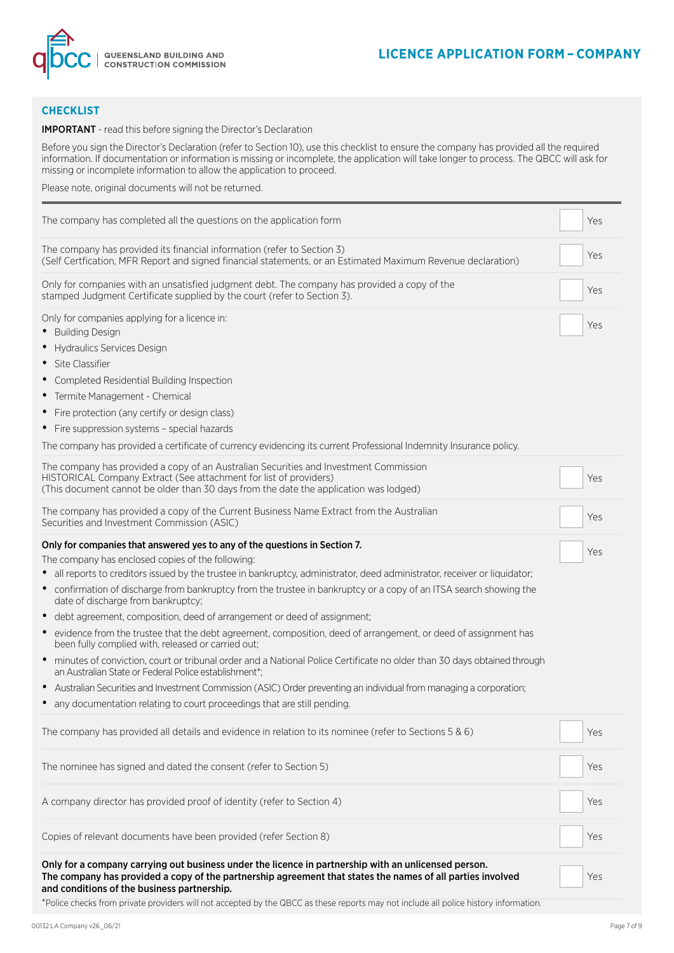

## **CHECKLIST**

#### IMPORTANT - read this before signing the Director's Declaration

Before you sign the Director's Declaration (refer to Section 10), use this checklist to ensure the company has provided all the required information. If documentation or information is missing or incomplete, the application will take longer to process. The QBCC will ask for missing or incomplete information to allow the application to proceed.

Please note, original documents will not be returned.

| The company has completed all the questions on the application form                                                                                                                                                                                                                                                                                                                                                                                                                                                                                                                                                                                                                                                                                                                                                                                                                                                                                                                                                                                                                                               | Yes |  |
|-------------------------------------------------------------------------------------------------------------------------------------------------------------------------------------------------------------------------------------------------------------------------------------------------------------------------------------------------------------------------------------------------------------------------------------------------------------------------------------------------------------------------------------------------------------------------------------------------------------------------------------------------------------------------------------------------------------------------------------------------------------------------------------------------------------------------------------------------------------------------------------------------------------------------------------------------------------------------------------------------------------------------------------------------------------------------------------------------------------------|-----|--|
| The company has provided its financial information (refer to Section 3)<br>(Self Certfication, MFR Report and signed financial statements, or an Estimated Maximum Revenue declaration)                                                                                                                                                                                                                                                                                                                                                                                                                                                                                                                                                                                                                                                                                                                                                                                                                                                                                                                           | Yes |  |
| Only for companies with an unsatisfied judgment debt. The company has provided a copy of the<br>stamped Judgment Certificate supplied by the court (refer to Section 3).                                                                                                                                                                                                                                                                                                                                                                                                                                                                                                                                                                                                                                                                                                                                                                                                                                                                                                                                          | Yes |  |
| Only for companies applying for a licence in:<br><b>Building Design</b><br>Hydraulics Services Design<br>Site Classifier<br>Completed Residential Building Inspection<br>Termite Management - Chemical<br>Fire protection (any certify or design class)<br>$\bullet$<br>• Fire suppression systems - special hazards<br>The company has provided a certificate of currency evidencing its current Professional Indemnity Insurance policy.                                                                                                                                                                                                                                                                                                                                                                                                                                                                                                                                                                                                                                                                        | Yes |  |
| The company has provided a copy of an Australian Securities and Investment Commission<br>HISTORICAL Company Extract (See attachment for list of providers)<br>(This document cannot be older than 30 days from the date the application was lodged)                                                                                                                                                                                                                                                                                                                                                                                                                                                                                                                                                                                                                                                                                                                                                                                                                                                               | Yes |  |
| The company has provided a copy of the Current Business Name Extract from the Australian<br>Securities and Investment Commission (ASIC)                                                                                                                                                                                                                                                                                                                                                                                                                                                                                                                                                                                                                                                                                                                                                                                                                                                                                                                                                                           | Yes |  |
| Only for companies that answered yes to any of the questions in Section 7.<br>The company has enclosed copies of the following:<br>all reports to creditors issued by the trustee in bankruptcy, administrator, deed administrator, receiver or liquidator;<br>confirmation of discharge from bankruptcy from the trustee in bankruptcy or a copy of an ITSA search showing the<br>$\bullet$<br>date of discharge from bankruptcy;<br>debt agreement, composition, deed of arrangement or deed of assignment;<br>$\bullet$<br>evidence from the trustee that the debt agreement, composition, deed of arrangement, or deed of assignment has<br>$\bullet$<br>been fully complied with, released or carried out;<br>minutes of conviction, court or tribunal order and a National Police Certificate no older than 30 days obtained through<br>$\bullet$<br>an Australian State or Federal Police establishment*;<br>Australian Securities and Investment Commission (ASIC) Order preventing an individual from managing a corporation;<br>any documentation relating to court proceedings that are still pending. | Yes |  |
| The company has provided all details and evidence in relation to its nominee (refer to Sections 5 & 6)                                                                                                                                                                                                                                                                                                                                                                                                                                                                                                                                                                                                                                                                                                                                                                                                                                                                                                                                                                                                            | Yes |  |
| The nominee has signed and dated the consent (refer to Section 5)                                                                                                                                                                                                                                                                                                                                                                                                                                                                                                                                                                                                                                                                                                                                                                                                                                                                                                                                                                                                                                                 | Yes |  |
| A company director has provided proof of identity (refer to Section 4)                                                                                                                                                                                                                                                                                                                                                                                                                                                                                                                                                                                                                                                                                                                                                                                                                                                                                                                                                                                                                                            | Yes |  |
| Copies of relevant documents have been provided (refer Section 8)                                                                                                                                                                                                                                                                                                                                                                                                                                                                                                                                                                                                                                                                                                                                                                                                                                                                                                                                                                                                                                                 | Yes |  |
| Only for a company carrying out business under the licence in partnership with an unlicensed person.<br>The company has provided a copy of the partnership agreement that states the names of all parties involved<br>and conditions of the business partnership.                                                                                                                                                                                                                                                                                                                                                                                                                                                                                                                                                                                                                                                                                                                                                                                                                                                 | Yes |  |

\*Police checks from private providers will not accepted by the QBCC as these reports may not include all police history information.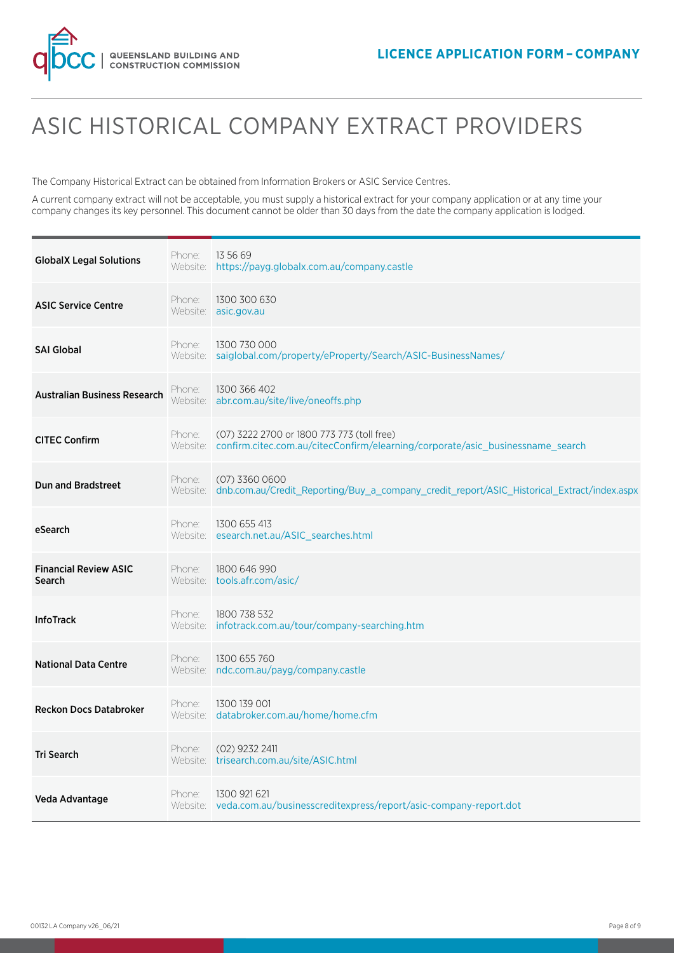

# ASIC HISTORICAL COMPANY EXTRACT PROVIDERS

The Company Historical Extract can be obtained from Information Brokers or ASIC Service Centres.

A current company extract will not be acceptable, you must supply a historical extract for your company application or at any time your company changes its key personnel. This document cannot be older than 30 days from the date the company application is lodged.

| <b>GlobalX Legal Solutions</b>                | Phone:             | 13 56 69<br>Website: https://payg.globalx.com.au/company.castle                                                                       |
|-----------------------------------------------|--------------------|---------------------------------------------------------------------------------------------------------------------------------------|
| <b>ASIC Service Centre</b>                    | Phone:             | 1300 300 630<br>Website: asic.gov.au                                                                                                  |
| <b>SAI Global</b>                             | Phone:             | 1300 730 000<br>Website: saiglobal.com/property/eProperty/Search/ASIC-BusinessNames/                                                  |
| <b>Australian Business Research</b>           | Phone:<br>Website: | 1300 366 402<br>abr.com.au/site/live/oneoffs.php                                                                                      |
| <b>CITEC Confirm</b>                          | Phone:             | (07) 3222 2700 or 1800 773 773 (toll free)<br>Website: confirm.citec.com.au/citecConfirm/elearning/corporate/asic_businessname_search |
| <b>Dun and Bradstreet</b>                     | Phone:<br>Website: | $(07)$ 3360 0600<br>dnb.com.au/Credit_Reporting/Buy_a_company_credit_report/ASIC_Historical_Extract/index.aspx                        |
| eSearch                                       | Phone:             | 1300 655 413<br>Website: esearch.net.au/ASIC_searches.html                                                                            |
| <b>Financial Review ASIC</b><br><b>Search</b> | Phone:             | 1800 646 990<br>Website: tools.afr.com/asic/                                                                                          |
| <b>InfoTrack</b>                              | Phone:             | 1800 738 532<br>Website: infotrack.com.au/tour/company-searching.htm                                                                  |
| <b>National Data Centre</b>                   | Phone:             | 1300 655 760<br>Website: ndc.com.au/payg/company.castle                                                                               |
| <b>Reckon Docs Databroker</b>                 | Phone:             | 1300 139 001<br>Website: databroker.com.au/home/home.cfm                                                                              |
| <b>Tri Search</b>                             | Phone:             | $(02)$ 9232 2411<br>Website: trisearch.com.au/site/ASIC.html                                                                          |
| Veda Advantage                                | Phone:             | 1300 921 621<br>Website: veda.com.au/businesscreditexpress/report/asic-company-report.dot                                             |